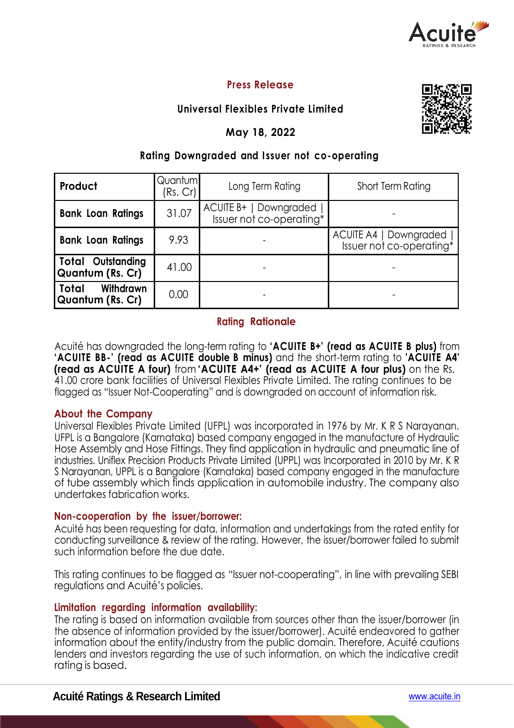

# **Press Release**

# **Universal Flexibles Private Limited**

# **May 18, 2022**



## **Rating Downgraded and I ssuer not co-operating**

| Product                                       | Quantum<br>(Rs. Cr) | Long Term Rating                                   | Short Term Rating                                  |  |  |
|-----------------------------------------------|---------------------|----------------------------------------------------|----------------------------------------------------|--|--|
| <b>Bank Loan Ratings</b>                      | 31.07               | ACUITE B+   Downgraded<br>Issuer not co-operating* |                                                    |  |  |
| <b>Bank Loan Ratings</b>                      | 9.93                |                                                    | ACUITE A4   Downgraded<br>Issuer not co-operating* |  |  |
| <b>Total Outstanding</b><br>Quantum (Rs. Cr)  | 41.00               |                                                    |                                                    |  |  |
| <b>Withdrawn</b><br>Total<br>Quantum (Rs. Cr) | 0.00                |                                                    |                                                    |  |  |

## **Rating Rationale**

Acuité has downgraded the long-term rating to **'ACUITE B+' (read as ACUITE B plus)** from **'ACUITE BB-' (read as ACUITE double B minus)** and the short-term rating to **'ACUITE A4' (read as ACUITE A four)** from **'ACUITE A4+' (read as ACUITE A four plus)** on the Rs. 41.00 crore bank facilities of Universal Flexibles Private Limited. The rating continues to be flagged as "Issuer Not-Cooperating" and is downgraded on account of information risk.

## **About the Company**

Universal Flexibles Private Limited (UFPL) was incorporated in 1976 by Mr. K R S Narayanan. UFPL is a Bangalore (Karnataka) based company engaged in the manufacture of Hydraulic Hose Assembly and Hose Fittings. They find application in hydraulic and pneumatic line of industries. Uniflex Precision Products Private Limited (UPPL) was Incorporated in 2010 by Mr. K R S Narayanan, UPPL is a Bangalore (Karnataka) based company engaged in the manufacture of tube assembly which finds application in automobile industry. The company also undertakes fabrication works.

## **Non-cooperation by the issuer/borrower:**

Acuité has been requesting for data, information and undertakings from the rated entity for conducting surveillance & review of the rating. However, the issuer/borrower failed to submit such information before the due date.

This rating continues to be flagged as "Issuer not-cooperating", in line with prevailing SEBI regulations and Acuité's policies.

#### **Limitation regarding information availability:**

The rating is based on information available from sources other than the issuer/borrower (in the absence of information provided by the issuer/borrower). Acuité endeavored to gather information about the entity/industry from the public domain. Therefore, Acuité cautions lenders and investors regarding the use of such information, on which the indicative credit rating is based.

## **Acuité Ratings & Research Limited** www.acuite.in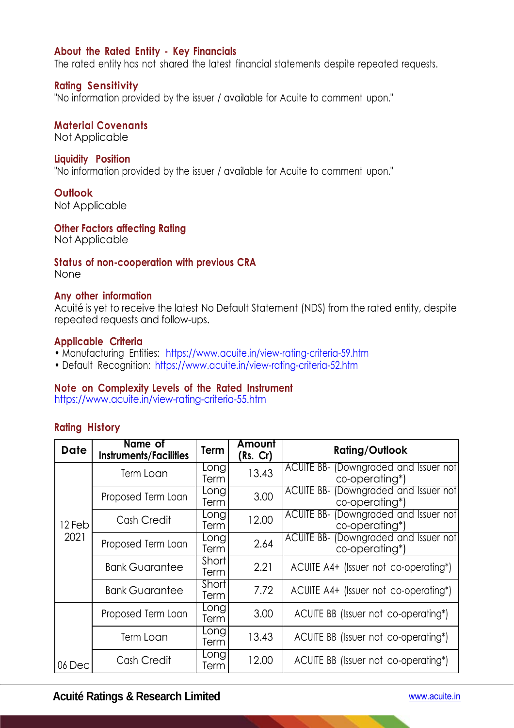## **About the Rated Entity - Key Financials**

The rated entity has not shared the latest financial statements despite repeated requests.

#### **Rating Sensitivity**

"No information provided by the issuer / available for Acuite to comment upon."

#### **Material Covenants**

Not Applicable

#### **Liquidity Position**

"No information provided by the issuer / available for Acuite to comment upon."

#### **Outlook**

Not Applicable

#### **Other Factors affecting Rating**

Not Applicable

#### **Status of non-cooperation with previous CRA** None

#### **Any other information**

Acuité is yet to receive the latest No Default Statement (NDS) from the rated entity, despite repeated requests and follow-ups.

#### **Applicable Criteria**

- Manufacturing Entities: https://www.acuite.in/view-rating-criteria-59.htm
- Default Recognition: https://www.acuite.in/view-rating-criteria-52.htm

#### **Note on Complexity Levels of the Rated Instrument**

https://www.acuite.in/view-rating-criteria-55.htm

#### **Rating History**

| <b>Date</b>    | Name of<br><b>Instruments/Facilities</b> | Term                 | Amount<br>(Rs. Cr) | <b>Rating/Outlook</b>                                   |
|----------------|------------------------------------------|----------------------|--------------------|---------------------------------------------------------|
| 12 Feb<br>2021 | Term Loan                                | Longl<br>Term        | 13.43              | ACUITE BB- (Downgraded and Issuer not<br>co-operating*) |
|                | Proposed Term Loan                       | Longl<br>Term        | 3.00               | ACUITE BB- (Downgraded and Issuer not<br>co-operating*) |
|                | Cash Credit                              | Longl<br>Term        | 12.00              | ACUITE BB- (Downgraded and Issuer not<br>co-operating*) |
|                | Proposed Term Loan                       | Long<br>Term         | 2.64               | ACUITE BB- (Downgraded and Issuer not<br>co-operating*) |
|                | <b>Bank Guarantee</b>                    | Short<br>Term        | 2.21               | ACUITE A4+ (Issuer not co-operating*)                   |
|                | <b>Bank Guarantee</b>                    | <b>Short</b><br>Term | 7.72               | ACUITE A4+ (Issuer not co-operating*)                   |
|                | Proposed Term Loan                       | Long<br>Term         | 3.00               | ACUITE BB (Issuer not co-operating*)                    |
|                | Long<br>Term Loan<br>Term                |                      | 13.43              | ACUITE BB (Issuer not co-operating*)                    |
| 06 Dec         | Cash Credit                              | Long<br>Term         | 12.00              | ACUITE BB (Issuer not co-operating*)                    |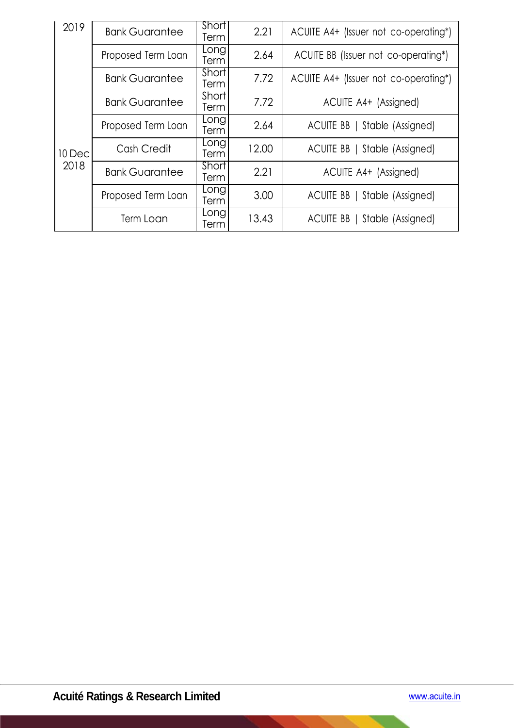| 2019           | <b>Bank Guarantee</b> | Short<br><b>Term</b> | 2.21  | ACUITE A4+ (Issuer not co-operating*) |
|----------------|-----------------------|----------------------|-------|---------------------------------------|
|                | Proposed Term Loan    | Long<br>Term         | 2.64  | ACUITE BB (Issuer not co-operating*)  |
|                | <b>Bank Guarantee</b> | Short<br><b>Term</b> | 7.72  | ACUITE A4+ (Issuer not co-operating*) |
|                | <b>Bank Guarantee</b> | Short<br>Term        | 7.72  | ACUITE A4+ (Assigned)                 |
| 10 Dec<br>2018 | Proposed Term Loan    | Long<br>Term         | 2.64  | ACUITE BB   Stable (Assigned)         |
|                | Cash Credit           | Longl<br>Term        | 12.00 | ACUITE BB   Stable (Assigned)         |
|                | <b>Bank Guarantee</b> | Short<br>Term        | 2.21  | ACUITE A4+ (Assigned)                 |
|                | Proposed Term Loan    | Long<br>Term         | 3.00  | ACUITE BB   Stable (Assigned)         |
|                | Term Loan             | Long<br>Term         | 13.43 | ACUITE BB   Stable (Assigned)         |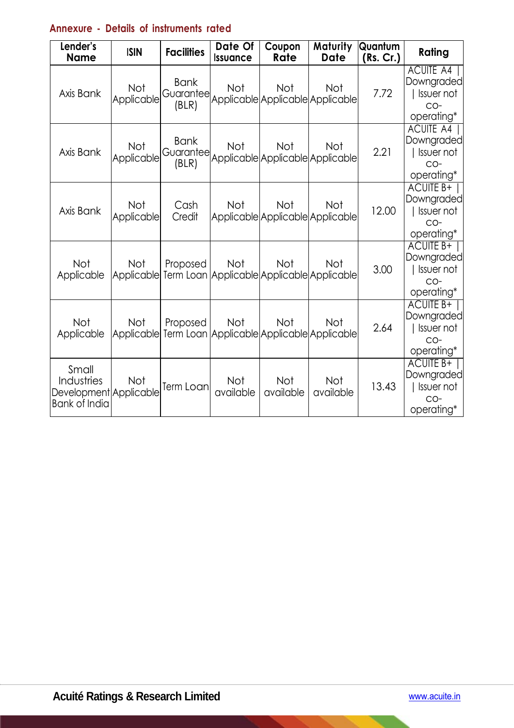# **Annexure - Details of instruments rated**

| Lender's<br><b>Name</b>                                               | <b>ISIN</b>              | <b>Facilities</b>                 | Date Of<br><b>Issuance</b> | Coupon<br>Rate                                           | Maturity<br><b>Date</b> | Quantum<br>(Rs. Cr.) | Rating                                                                       |
|-----------------------------------------------------------------------|--------------------------|-----------------------------------|----------------------------|----------------------------------------------------------|-------------------------|----------------------|------------------------------------------------------------------------------|
| Axis Bank                                                             | Not<br>Applicable        | <b>Bank</b><br>Guarantee<br>(BLR) | Not                        | Not<br>Applicable Applicable Applicable                  | Not                     | 7.72                 | <b>ACUITE A4</b><br>Downgraded<br><b>Issuer not</b><br>$CO-$<br>operating*   |
| Axis Bank                                                             | <b>Not</b><br>Applicable | <b>Bank</b><br>Guarantee<br>(BLR) | Not                        | <b>Not</b><br>Applicable Applicable Applicable           | Not                     | 2.21                 | <b>ACUITE A4</b><br>Downgraded<br><b>Issuer not</b><br>$CO-$<br>operating*   |
| Axis Bank                                                             | <b>Not</b><br>Applicable | Cash<br>Credit                    | <b>Not</b>                 | <b>Not</b><br>Applicable Applicable Applicable           | Not                     | 12.00                | ACUITE B+  <br><b>Downgraded</b><br><b>Issuer not</b><br>$CO-$<br>operating* |
| Not<br>Applicable                                                     | Not<br>Applicable        | Proposed                          | Not                        | <b>Not</b><br>Term Loan Applicable Applicable Applicable | Not                     | 3.00                 | ACUITE B+<br>Downgraded<br><b>Issuer not</b><br>$CO-$<br>operating*          |
| <b>Not</b><br>Applicable                                              | Not<br>Applicable        | Proposed                          | Not                        | Not<br>Term Loan Applicable Applicable Applicable        | <b>Not</b>              | 2.64                 | <b>ACUITE B+</b><br>Downgraded<br><b>Issuer not</b><br>CO-<br>operating*     |
| Small<br>Industries<br>Development Applicable<br><b>Bank of India</b> | Not                      | Term Loan                         | Not<br>available           | Not<br>available                                         | Not<br>available        | 13.43                | <b>ACUITE B+</b><br>Downgraded<br><b>Issuer not</b><br>$CO-$<br>operating*   |